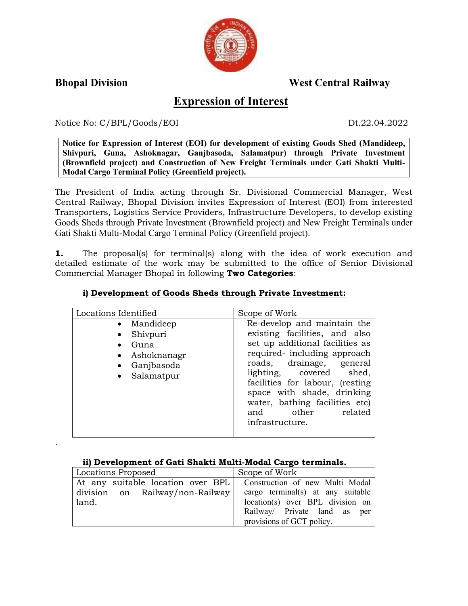

.

**Bhopal Division West Central Railway**

# **Expression of Interest**

Notice No: C/BPL/Goods/EOI Dt.22.04.2022

**Notice for Expression of Interest (EOI) for development of existing Goods Shed (Mandideep, Shivpuri, Guna, Ashoknagar, Ganjbasoda, Salamatpur) through Private Investment (Brownfield project) and Construction of New Freight Terminals under Gati Shakti Multi-Modal Cargo Terminal Policy (Greenfield project).**

The President of India acting through Sr. Divisional Commercial Manager, West Central Railway, Bhopal Division invites Expression of Interest (EOI) from interested Transporters, Logistics Service Providers, Infrastructure Developers, to develop existing Goods Sheds through Private Investment (Brownfield project) and New Freight Terminals under Gati Shakti Multi-Modal Cargo Terminal Policy (Greenfield project).

**1.** The proposal(s) for terminal(s) along with the idea of work execution and detailed estimate of the work may be submitted to the office of Senior Divisional Commercial Manager Bhopal in following **Two Categories**:

| Locations Identified                                                                      | Scope of Work                                                                                                                                                                                                                                                                                                                       |
|-------------------------------------------------------------------------------------------|-------------------------------------------------------------------------------------------------------------------------------------------------------------------------------------------------------------------------------------------------------------------------------------------------------------------------------------|
| • Mandideep<br>Shivpuri<br>$\bullet$<br>Guna<br>• Ashoknanagr<br>Ganjbasoda<br>Salamatpur | Re-develop and maintain the<br>existing facilities, and also<br>set up additional facilities as<br>required-including approach<br>roads, drainage, general<br>lighting, covered shed,<br>facilities for labour, (resting<br>space with shade, drinking<br>water, bathing facilities etc)<br>related<br>and other<br>infrastructure. |

## **i) Development of Goods Sheds through Private Investment:**

#### **ii) Development of Gati Shakti Multi-Modal Cargo terminals.**

| Locations Proposed                | Scope of Work                     |
|-----------------------------------|-----------------------------------|
| At any suitable location over BPL | Construction of new Multi Modal   |
| division on Railway/non-Railway   | cargo terminal(s) at any suitable |
| land.                             | location(s) over BPL division on  |
|                                   | Railway Private land as per       |
|                                   | provisions of GCT policy.         |